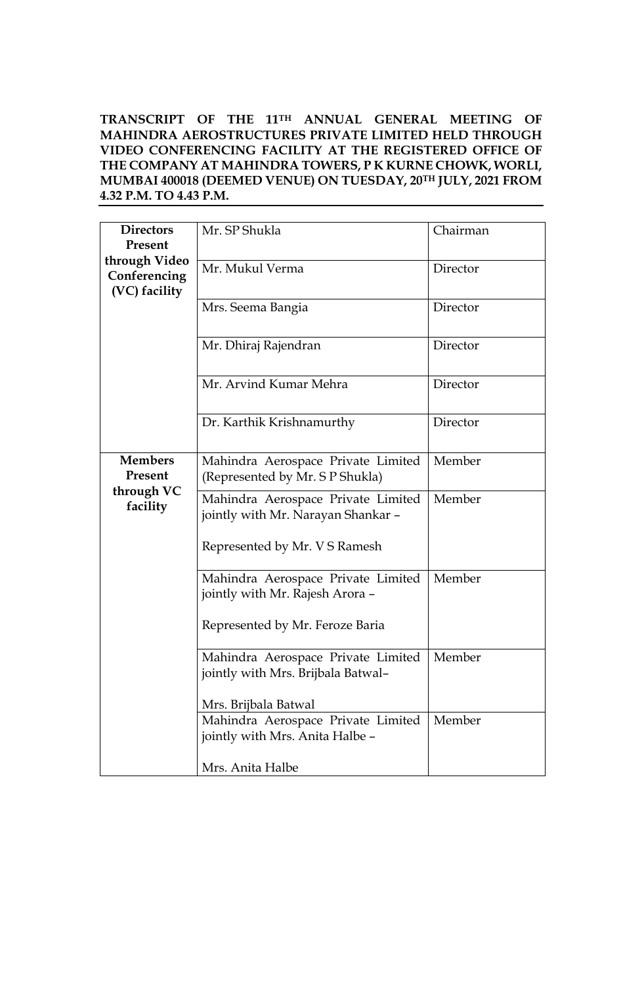### **TRANSCRIPT OF THE 11TH ANNUAL GENERAL MEETING OF MAHINDRA AEROSTRUCTURES PRIVATE LIMITED HELD THROUGH VIDEO CONFERENCING FACILITY AT THE REGISTERED OFFICE OF THE COMPANY AT MAHINDRA TOWERS, P K KURNE CHOWK, WORLI, MUMBAI 400018 (DEEMED VENUE) ON TUESDAY, 20TH JULY, 2021 FROM 4.32 P.M. TO 4.43 P.M.**

| <b>Directors</b><br>Present                         | Mr. SP Shukla                                                            | Chairman |
|-----------------------------------------------------|--------------------------------------------------------------------------|----------|
| through Video<br>Conferencing<br>(VC) facility      | Mr. Mukul Verma                                                          | Director |
|                                                     | Mrs. Seema Bangia                                                        | Director |
|                                                     | Mr. Dhiraj Rajendran                                                     | Director |
|                                                     | Mr. Arvind Kumar Mehra                                                   | Director |
|                                                     | Dr. Karthik Krishnamurthy                                                | Director |
| <b>Members</b><br>Present<br>through VC<br>facility | Mahindra Aerospace Private Limited<br>(Represented by Mr. S P Shukla)    | Member   |
|                                                     | Mahindra Aerospace Private Limited<br>jointly with Mr. Narayan Shankar - | Member   |
|                                                     | Represented by Mr. V S Ramesh                                            |          |
|                                                     | Mahindra Aerospace Private Limited<br>jointly with Mr. Rajesh Arora -    | Member   |
|                                                     | Represented by Mr. Feroze Baria                                          |          |
|                                                     | Mahindra Aerospace Private Limited<br>jointly with Mrs. Brijbala Batwal- | Member   |
|                                                     | Mrs. Brijbala Batwal                                                     |          |
|                                                     | Mahindra Aerospace Private Limited<br>jointly with Mrs. Anita Halbe -    | Member   |
|                                                     | Mrs. Anita Halbe                                                         |          |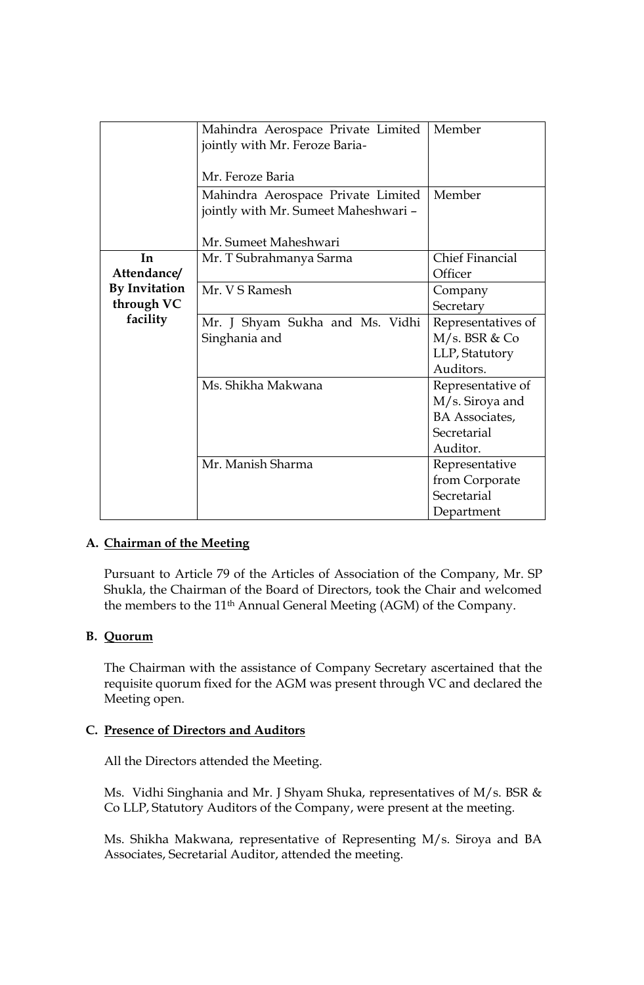|                      | Mahindra Aerospace Private Limited   | Member                 |
|----------------------|--------------------------------------|------------------------|
|                      | jointly with Mr. Feroze Baria-       |                        |
|                      |                                      |                        |
|                      | Mr. Feroze Baria                     |                        |
|                      | Mahindra Aerospace Private Limited   | Member                 |
|                      | jointly with Mr. Sumeet Maheshwari - |                        |
|                      |                                      |                        |
|                      | Mr. Sumeet Maheshwari                |                        |
| In                   | Mr. T Subrahmanya Sarma              | <b>Chief Financial</b> |
| Attendance/          |                                      | Officer                |
| <b>By Invitation</b> | Mr. V S Ramesh                       | Company                |
| through VC           |                                      | Secretary              |
| facility             | Mr. J Shyam Sukha and Ms. Vidhi      | Representatives of     |
|                      | Singhania and                        | $M/s$ . BSR & Co       |
|                      |                                      | LLP, Statutory         |
|                      |                                      | Auditors.              |
|                      | Ms. Shikha Makwana                   | Representative of      |
|                      |                                      | M/s. Siroya and        |
|                      |                                      | <b>BA</b> Associates,  |
|                      |                                      | Secretarial            |
|                      |                                      | Auditor.               |
|                      | Mr. Manish Sharma                    |                        |
|                      |                                      | Representative         |
|                      |                                      | from Corporate         |
|                      |                                      | Secretarial            |
|                      |                                      | Department             |

### **A. Chairman of the Meeting**

Pursuant to Article 79 of the Articles of Association of the Company, Mr. SP Shukla, the Chairman of the Board of Directors, took the Chair and welcomed the members to the 11th Annual General Meeting (AGM) of the Company.

### **B. Quorum**

The Chairman with the assistance of Company Secretary ascertained that the requisite quorum fixed for the AGM was present through VC and declared the Meeting open.

### **C. Presence of Directors and Auditors**

All the Directors attended the Meeting.

Ms. Vidhi Singhania and Mr. J Shyam Shuka, representatives of M/s. BSR & Co LLP, Statutory Auditors of the Company, were present at the meeting.

Ms. Shikha Makwana, representative of Representing M/s. Siroya and BA Associates, Secretarial Auditor, attended the meeting.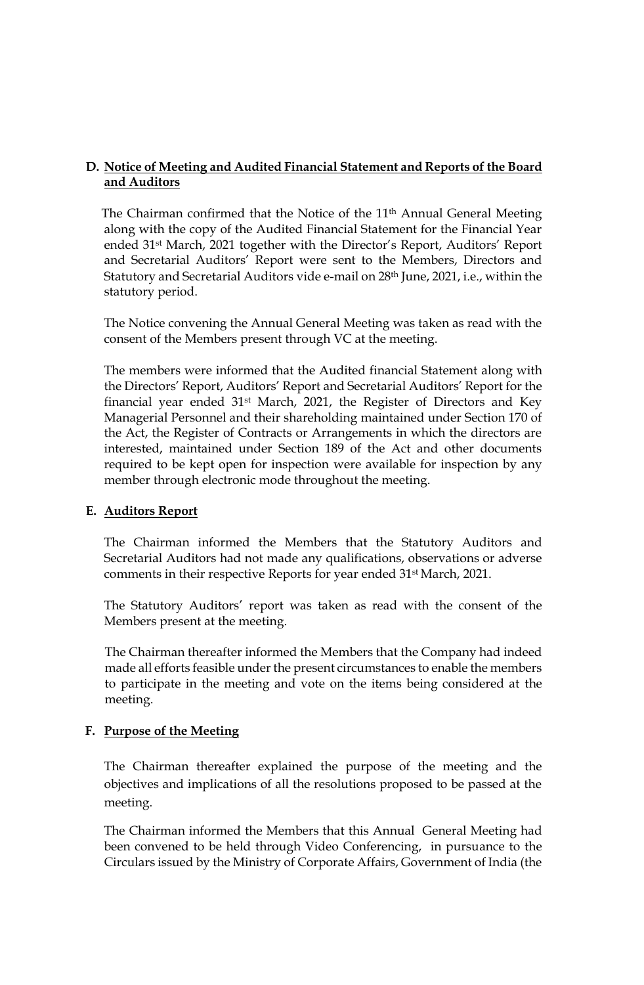# **D. Notice of Meeting and Audited Financial Statement and Reports of the Board and Auditors**

The Chairman confirmed that the Notice of the 11<sup>th</sup> Annual General Meeting along with the copy of the Audited Financial Statement for the Financial Year ended 31st March, 2021 together with the Director's Report, Auditors' Report and Secretarial Auditors' Report were sent to the Members, Directors and Statutory and Secretarial Auditors vide e-mail on 28th June, 2021, i.e., within the statutory period.

The Notice convening the Annual General Meeting was taken as read with the consent of the Members present through VC at the meeting.

The members were informed that the Audited financial Statement along with the Directors' Report, Auditors' Report and Secretarial Auditors' Report for the financial year ended 31st March, 2021, the Register of Directors and Key Managerial Personnel and their shareholding maintained under Section 170 of the Act, the Register of Contracts or Arrangements in which the directors are interested, maintained under Section 189 of the Act and other documents required to be kept open for inspection were available for inspection by any member through electronic mode throughout the meeting.

### **E. Auditors Report**

The Chairman informed the Members that the Statutory Auditors and Secretarial Auditors had not made any qualifications, observations or adverse comments in their respective Reports for year ended 31st March, 2021.

The Statutory Auditors' report was taken as read with the consent of the Members present at the meeting.

The Chairman thereafter informed the Members that the Company had indeed made all efforts feasible under the present circumstances to enable the members to participate in the meeting and vote on the items being considered at the meeting.

# **F. Purpose of the Meeting**

The Chairman thereafter explained the purpose of the meeting and the objectives and implications of all the resolutions proposed to be passed at the meeting.

The Chairman informed the Members that this Annual General Meeting had been convened to be held through Video Conferencing, in pursuance to the Circulars issued by the Ministry of Corporate Affairs, Government of India (the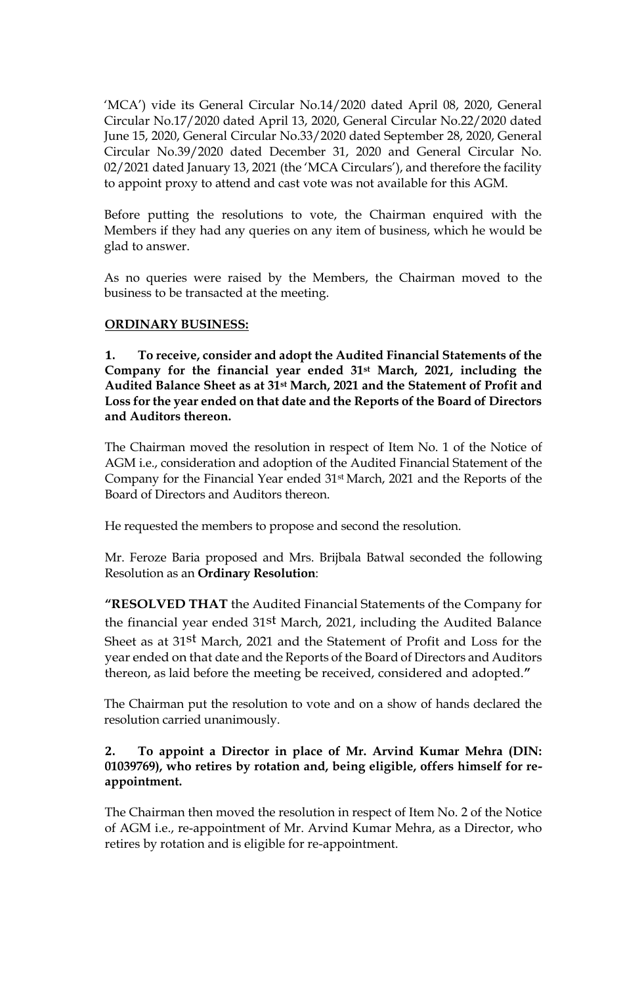'MCA') vide its General Circular No.14/2020 dated April 08, 2020, General Circular No.17/2020 dated April 13, 2020, General Circular No.22/2020 dated June 15, 2020, General Circular No.33/2020 dated September 28, 2020, General Circular No.39/2020 dated December 31, 2020 and General Circular No. 02/2021 dated January 13, 2021 (the 'MCA Circulars'), and therefore the facility to appoint proxy to attend and cast vote was not available for this AGM.

Before putting the resolutions to vote, the Chairman enquired with the Members if they had any queries on any item of business, which he would be glad to answer.

As no queries were raised by the Members, the Chairman moved to the business to be transacted at the meeting.

### **ORDINARY BUSINESS:**

**1. To receive, consider and adopt the Audited Financial Statements of the Company for the financial year ended 31st March, 2021, including the Audited Balance Sheet as at 31st March, 2021 and the Statement of Profit and Loss for the year ended on that date and the Reports of the Board of Directors and Auditors thereon.**

The Chairman moved the resolution in respect of Item No. 1 of the Notice of AGM i.e., consideration and adoption of the Audited Financial Statement of the Company for the Financial Year ended 31st March, 2021 and the Reports of the Board of Directors and Auditors thereon.

He requested the members to propose and second the resolution.

Mr. Feroze Baria proposed and Mrs. Brijbala Batwal seconded the following Resolution as an **Ordinary Resolution**:

**"RESOLVED THAT** the Audited Financial Statements of the Company for the financial year ended 31st March, 2021, including the Audited Balance Sheet as at 31st March, 2021 and the Statement of Profit and Loss for the year ended on that date and the Reports of the Board of Directors and Auditors thereon, as laid before the meeting be received, considered and adopted.**"**

The Chairman put the resolution to vote and on a show of hands declared the resolution carried unanimously.

### **2. To appoint a Director in place of Mr. Arvind Kumar Mehra (DIN: 01039769), who retires by rotation and, being eligible, offers himself for reappointment.**

The Chairman then moved the resolution in respect of Item No. 2 of the Notice of AGM i.e., re-appointment of Mr. Arvind Kumar Mehra, as a Director, who retires by rotation and is eligible for re-appointment.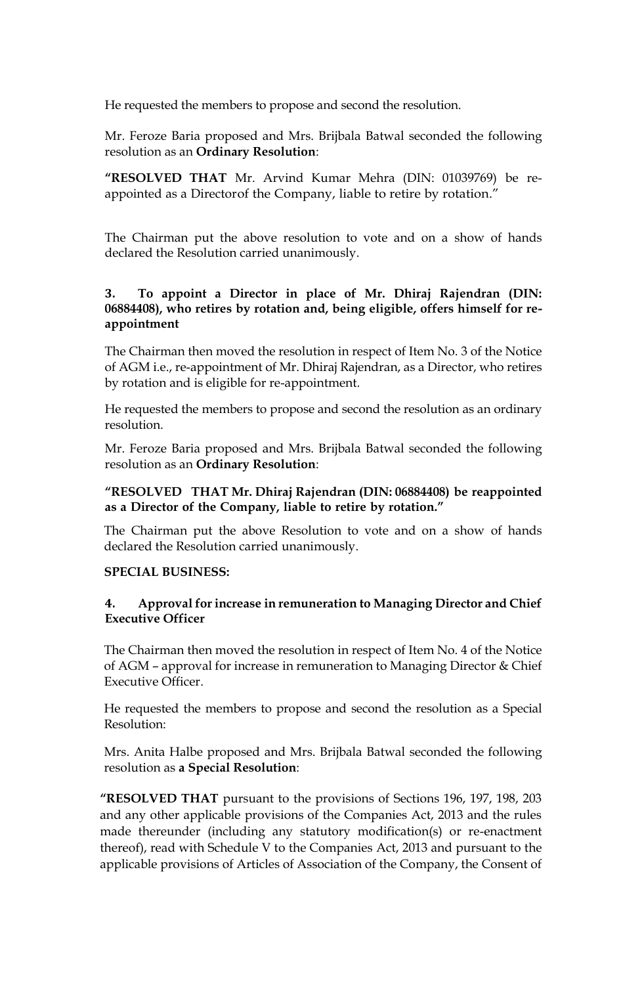He requested the members to propose and second the resolution.

Mr. Feroze Baria proposed and Mrs. Brijbala Batwal seconded the following resolution as an **Ordinary Resolution**:

**"RESOLVED THAT** Mr. Arvind Kumar Mehra (DIN: 01039769) be reappointed as a Directorof the Company, liable to retire by rotation."

The Chairman put the above resolution to vote and on a show of hands declared the Resolution carried unanimously.

### **3. To appoint a Director in place of Mr. Dhiraj Rajendran (DIN: 06884408), who retires by rotation and, being eligible, offers himself for reappointment**

The Chairman then moved the resolution in respect of Item No. 3 of the Notice of AGM i.e., re-appointment of Mr. Dhiraj Rajendran, as a Director, who retires by rotation and is eligible for re-appointment.

He requested the members to propose and second the resolution as an ordinary resolution.

Mr. Feroze Baria proposed and Mrs. Brijbala Batwal seconded the following resolution as an **Ordinary Resolution**:

#### **"RESOLVED THAT Mr. Dhiraj Rajendran (DIN: 06884408) be reappointed as a Director of the Company, liable to retire by rotation."**

The Chairman put the above Resolution to vote and on a show of hands declared the Resolution carried unanimously.

#### **SPECIAL BUSINESS:**

### **4. Approval for increase in remuneration to Managing Director and Chief Executive Officer**

The Chairman then moved the resolution in respect of Item No. 4 of the Notice of AGM – approval for increase in remuneration to Managing Director & Chief Executive Officer.

He requested the members to propose and second the resolution as a Special Resolution:

Mrs. Anita Halbe proposed and Mrs. Brijbala Batwal seconded the following resolution as **a Special Resolution**:

**"RESOLVED THAT** pursuant to the provisions of Sections 196, 197, 198, 203 and any other applicable provisions of the Companies Act, 2013 and the rules made thereunder (including any statutory modification(s) or re-enactment thereof), read with Schedule V to the Companies Act, 2013 and pursuant to the applicable provisions of Articles of Association of the Company, the Consent of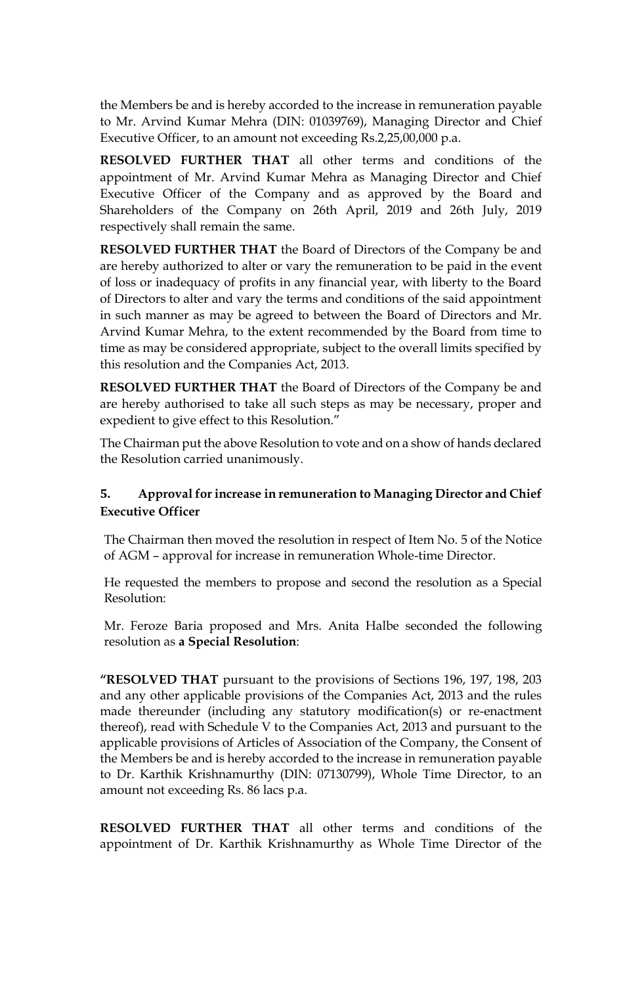the Members be and is hereby accorded to the increase in remuneration payable to Mr. Arvind Kumar Mehra (DIN: 01039769), Managing Director and Chief Executive Officer, to an amount not exceeding Rs.2,25,00,000 p.a.

**RESOLVED FURTHER THAT** all other terms and conditions of the appointment of Mr. Arvind Kumar Mehra as Managing Director and Chief Executive Officer of the Company and as approved by the Board and Shareholders of the Company on 26th April, 2019 and 26th July, 2019 respectively shall remain the same.

**RESOLVED FURTHER THAT** the Board of Directors of the Company be and are hereby authorized to alter or vary the remuneration to be paid in the event of loss or inadequacy of profits in any financial year, with liberty to the Board of Directors to alter and vary the terms and conditions of the said appointment in such manner as may be agreed to between the Board of Directors and Mr. Arvind Kumar Mehra, to the extent recommended by the Board from time to time as may be considered appropriate, subject to the overall limits specified by this resolution and the Companies Act, 2013.

**RESOLVED FURTHER THAT** the Board of Directors of the Company be and are hereby authorised to take all such steps as may be necessary, proper and expedient to give effect to this Resolution."

The Chairman put the above Resolution to vote and on a show of hands declared the Resolution carried unanimously.

# **5. Approval for increase in remuneration to Managing Director and Chief Executive Officer**

The Chairman then moved the resolution in respect of Item No. 5 of the Notice of AGM – approval for increase in remuneration Whole-time Director.

He requested the members to propose and second the resolution as a Special Resolution:

Mr. Feroze Baria proposed and Mrs. Anita Halbe seconded the following resolution as **a Special Resolution**:

**"RESOLVED THAT** pursuant to the provisions of Sections 196, 197, 198, 203 and any other applicable provisions of the Companies Act, 2013 and the rules made thereunder (including any statutory modification(s) or re-enactment thereof), read with Schedule V to the Companies Act, 2013 and pursuant to the applicable provisions of Articles of Association of the Company, the Consent of the Members be and is hereby accorded to the increase in remuneration payable to Dr. Karthik Krishnamurthy (DIN: 07130799), Whole Time Director, to an amount not exceeding Rs. 86 lacs p.a.

**RESOLVED FURTHER THAT** all other terms and conditions of the appointment of Dr. Karthik Krishnamurthy as Whole Time Director of the